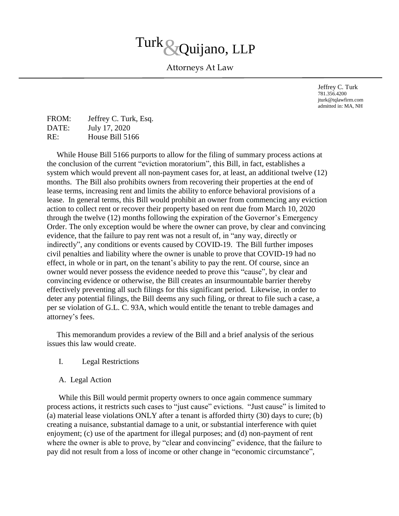# Turk & Quijano, LLP

Attorneys At Law

Jeffrey C. Turk 781.356.4200 jturk@tqlawfirm.com admitted in: MA, NH

| FROM: | Jeffrey C. Turk, Esq. |
|-------|-----------------------|
| DATE: | July 17, 2020         |
| RE:   | House Bill 5166       |

 While House Bill 5166 purports to allow for the filing of summary process actions at the conclusion of the current "eviction moratorium", this Bill, in fact, establishes a system which would prevent all non-payment cases for, at least, an additional twelve (12) months. The Bill also prohibits owners from recovering their properties at the end of lease terms, increasing rent and limits the ability to enforce behavioral provisions of a lease. In general terms, this Bill would prohibit an owner from commencing any eviction action to collect rent or recover their property based on rent due from March 10, 2020 through the twelve (12) months following the expiration of the Governor's Emergency Order. The only exception would be where the owner can prove, by clear and convincing evidence, that the failure to pay rent was not a result of, in "any way, directly or indirectly", any conditions or events caused by COVID-19. The Bill further imposes civil penalties and liability where the owner is unable to prove that COVID-19 had no effect, in whole or in part, on the tenant's ability to pay the rent. Of course, since an owner would never possess the evidence needed to prove this "cause", by clear and convincing evidence or otherwise, the Bill creates an insurmountable barrier thereby effectively preventing all such filings for this significant period. Likewise, in order to deter any potential filings, the Bill deems any such filing, or threat to file such a case, a per se violation of G.L. C. 93A, which would entitle the tenant to treble damages and attorney's fees.

 This memorandum provides a review of the Bill and a brief analysis of the serious issues this law would create.

## I. Legal Restrictions

## A. Legal Action

 While this Bill would permit property owners to once again commence summary process actions, it restricts such cases to "just cause" evictions. "Just cause" is limited to (a) material lease violations ONLY after a tenant is afforded thirty (30) days to cure; (b) creating a nuisance, substantial damage to a unit, or substantial interference with quiet enjoyment; (c) use of the apartment for illegal purposes; and (d) non-payment of rent where the owner is able to prove, by "clear and convincing" evidence, that the failure to pay did not result from a loss of income or other change in "economic circumstance",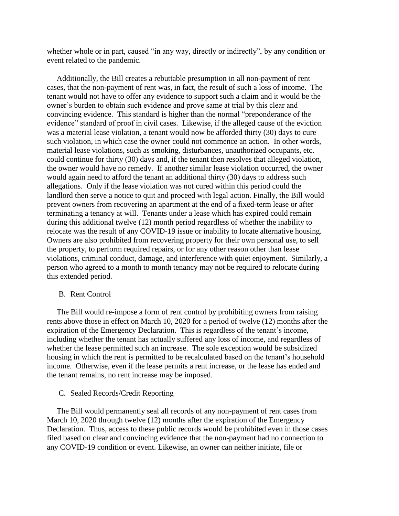whether whole or in part, caused "in any way, directly or indirectly", by any condition or event related to the pandemic.

 Additionally, the Bill creates a rebuttable presumption in all non-payment of rent cases, that the non-payment of rent was, in fact, the result of such a loss of income. The tenant would not have to offer any evidence to support such a claim and it would be the owner's burden to obtain such evidence and prove same at trial by this clear and convincing evidence. This standard is higher than the normal "preponderance of the evidence" standard of proof in civil cases. Likewise, if the alleged cause of the eviction was a material lease violation, a tenant would now be afforded thirty (30) days to cure such violation, in which case the owner could not commence an action. In other words, material lease violations, such as smoking, disturbances, unauthorized occupants, etc. could continue for thirty (30) days and, if the tenant then resolves that alleged violation, the owner would have no remedy. If another similar lease violation occurred, the owner would again need to afford the tenant an additional thirty (30) days to address such allegations. Only if the lease violation was not cured within this period could the landlord then serve a notice to quit and proceed with legal action. Finally, the Bill would prevent owners from recovering an apartment at the end of a fixed-term lease or after terminating a tenancy at will. Tenants under a lease which has expired could remain during this additional twelve (12) month period regardless of whether the inability to relocate was the result of any COVID-19 issue or inability to locate alternative housing. Owners are also prohibited from recovering property for their own personal use, to sell the property, to perform required repairs, or for any other reason other than lease violations, criminal conduct, damage, and interference with quiet enjoyment. Similarly, a person who agreed to a month to month tenancy may not be required to relocate during this extended period.

#### B. Rent Control

 The Bill would re-impose a form of rent control by prohibiting owners from raising rents above those in effect on March 10, 2020 for a period of twelve (12) months after the expiration of the Emergency Declaration. This is regardless of the tenant's income, including whether the tenant has actually suffered any loss of income, and regardless of whether the lease permitted such an increase. The sole exception would be subsidized housing in which the rent is permitted to be recalculated based on the tenant's household income. Otherwise, even if the lease permits a rent increase, or the lease has ended and the tenant remains, no rent increase may be imposed.

#### C. Sealed Records/Credit Reporting

 The Bill would permanently seal all records of any non-payment of rent cases from March 10, 2020 through twelve (12) months after the expiration of the Emergency Declaration. Thus, access to these public records would be prohibited even in those cases filed based on clear and convincing evidence that the non-payment had no connection to any COVID-19 condition or event. Likewise, an owner can neither initiate, file or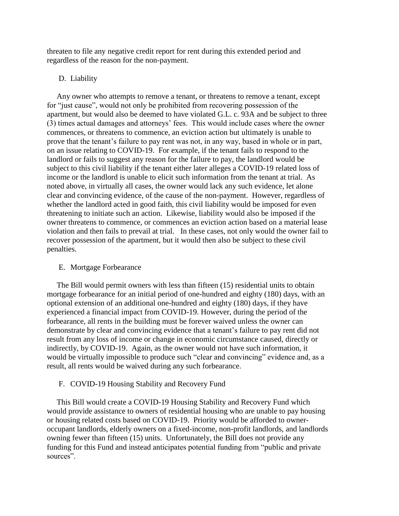threaten to file any negative credit report for rent during this extended period and regardless of the reason for the non-payment.

# D. Liability

 Any owner who attempts to remove a tenant, or threatens to remove a tenant, except for "just cause", would not only be prohibited from recovering possession of the apartment, but would also be deemed to have violated G.L. c. 93A and be subject to three (3) times actual damages and attorneys' fees. This would include cases where the owner commences, or threatens to commence, an eviction action but ultimately is unable to prove that the tenant's failure to pay rent was not, in any way, based in whole or in part, on an issue relating to COVID-19. For example, if the tenant fails to respond to the landlord or fails to suggest any reason for the failure to pay, the landlord would be subject to this civil liability if the tenant either later alleges a COVID-19 related loss of income or the landlord is unable to elicit such information from the tenant at trial. As noted above, in virtually all cases, the owner would lack any such evidence, let alone clear and convincing evidence, of the cause of the non-payment. However, regardless of whether the landlord acted in good faith, this civil liability would be imposed for even threatening to initiate such an action. Likewise, liability would also be imposed if the owner threatens to commence, or commences an eviction action based on a material lease violation and then fails to prevail at trial. In these cases, not only would the owner fail to recover possession of the apartment, but it would then also be subject to these civil penalties.

# E. Mortgage Forbearance

 The Bill would permit owners with less than fifteen (15) residential units to obtain mortgage forbearance for an initial period of one-hundred and eighty (180) days, with an optional extension of an additional one-hundred and eighty (180) days, if they have experienced a financial impact from COVID-19. However, during the period of the forbearance, all rents in the building must be forever waived unless the owner can demonstrate by clear and convincing evidence that a tenant's failure to pay rent did not result from any loss of income or change in economic circumstance caused, directly or indirectly, by COVID-19. Again, as the owner would not have such information, it would be virtually impossible to produce such "clear and convincing" evidence and, as a result, all rents would be waived during any such forbearance.

# F. COVID-19 Housing Stability and Recovery Fund

 This Bill would create a COVID-19 Housing Stability and Recovery Fund which would provide assistance to owners of residential housing who are unable to pay housing or housing related costs based on COVID-19. Priority would be afforded to owneroccupant landlords, elderly owners on a fixed-income, non-profit landlords, and landlords owning fewer than fifteen (15) units. Unfortunately, the Bill does not provide any funding for this Fund and instead anticipates potential funding from "public and private sources".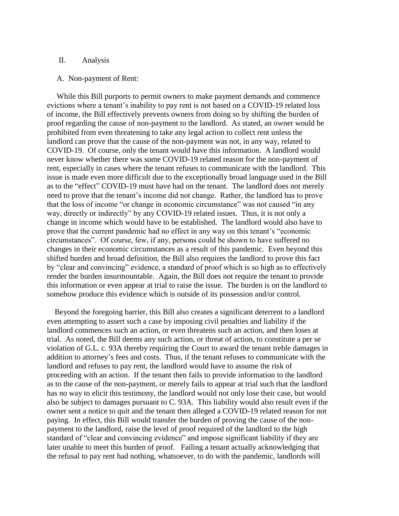## II. Analysis

#### A. Non-payment of Rent:

 While this Bill purports to permit owners to make payment demands and commence evictions where a tenant's inability to pay rent is not based on a COVID-19 related loss of income, the Bill effectively prevents owners from doing so by shifting the burden of proof regarding the cause of non-payment to the landlord. As stated, an owner would be prohibited from even threatening to take any legal action to collect rent unless the landlord can prove that the cause of the non-payment was not, in any way, related to COVID-19. Of course, only the tenant would have this information. A landlord would never know whether there was some COVID-19 related reason for the non-payment of rent, especially in cases where the tenant refuses to communicate with the landlord. This issue is made even more difficult due to the exceptionally broad language used in the Bill as to the "effect" COVID-19 must have had on the tenant. The landlord does not merely need to prove that the tenant's income did not change. Rather, the landlord has to prove that the loss of income "or change in economic circumstance" was not caused "in any way, directly or indirectly" by any COVID-19 related issues. Thus, it is not only a change in income which would have to be established. The landlord would also have to prove that the current pandemic had no effect in any way on this tenant's "economic circumstances". Of course, few, if any, persons could be shown to have suffered no changes in their economic circumstances as a result of this pandemic. Even beyond this shifted burden and broad definition, the Bill also requires the landlord to prove this fact by "clear and convincing" evidence, a standard of proof which is so high as to effectively render the burden insurmountable. Again, the Bill does not require the tenant to provide this information or even appear at trial to raise the issue. The burden is on the landlord to somehow produce this evidence which is outside of its possession and/or control.

 Beyond the foregoing barrier, this Bill also creates a significant deterrent to a landlord even attempting to assert such a case by imposing civil penalties and liability if the landlord commences such an action, or even threatens such an action, and then loses at trial. As noted, the Bill deems any such action, or threat of action, to constitute a per se violation of G.L. c. 93A thereby requiring the Court to award the tenant treble damages in addition to attorney's fees and costs. Thus, if the tenant refuses to communicate with the landlord and refuses to pay rent, the landlord would have to assume the risk of proceeding with an action. If the tenant then fails to provide information to the landlord as to the cause of the non-payment, or merely fails to appear at trial such that the landlord has no way to elicit this testimony, the landlord would not only lose their case, but would also be subject to damages pursuant to C. 93A. This liability would also result even if the owner sent a notice to quit and the tenant then alleged a COVID-19 related reason for not paying. In effect, this Bill would transfer the burden of proving the cause of the nonpayment to the landlord, raise the level of proof required of the landlord to the high standard of "clear and convincing evidence" and impose significant liability if they are later unable to meet this burden of proof. Failing a tenant actually acknowledging that the refusal to pay rent had nothing, whatsoever, to do with the pandemic, landlords will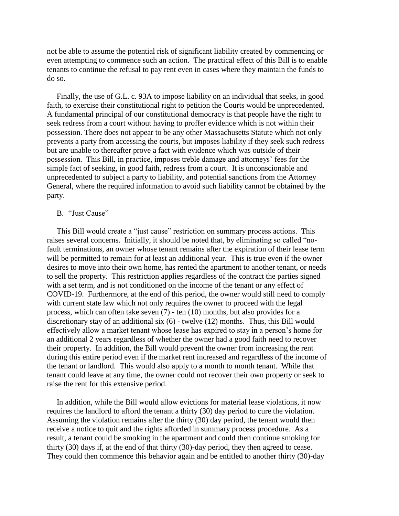not be able to assume the potential risk of significant liability created by commencing or even attempting to commence such an action. The practical effect of this Bill is to enable tenants to continue the refusal to pay rent even in cases where they maintain the funds to do so.

 Finally, the use of G.L. c. 93A to impose liability on an individual that seeks, in good faith, to exercise their constitutional right to petition the Courts would be unprecedented. A fundamental principal of our constitutional democracy is that people have the right to seek redress from a court without having to proffer evidence which is not within their possession. There does not appear to be any other Massachusetts Statute which not only prevents a party from accessing the courts, but imposes liability if they seek such redress but are unable to thereafter prove a fact with evidence which was outside of their possession. This Bill, in practice, imposes treble damage and attorneys' fees for the simple fact of seeking, in good faith, redress from a court. It is unconscionable and unprecedented to subject a party to liability, and potential sanctions from the Attorney General, where the required information to avoid such liability cannot be obtained by the party.

## B. "Just Cause"

 This Bill would create a "just cause" restriction on summary process actions. This raises several concerns. Initially, it should be noted that, by eliminating so called "nofault terminations, an owner whose tenant remains after the expiration of their lease term will be permitted to remain for at least an additional year. This is true even if the owner desires to move into their own home, has rented the apartment to another tenant, or needs to sell the property. This restriction applies regardless of the contract the parties signed with a set term, and is not conditioned on the income of the tenant or any effect of COVID-19. Furthermore, at the end of this period, the owner would still need to comply with current state law which not only requires the owner to proceed with the legal process, which can often take seven (7) - ten (10) months, but also provides for a discretionary stay of an additional six (6) - twelve (12) months. Thus, this Bill would effectively allow a market tenant whose lease has expired to stay in a person's home for an additional 2 years regardless of whether the owner had a good faith need to recover their property. In addition, the Bill would prevent the owner from increasing the rent during this entire period even if the market rent increased and regardless of the income of the tenant or landlord. This would also apply to a month to month tenant. While that tenant could leave at any time, the owner could not recover their own property or seek to raise the rent for this extensive period.

 In addition, while the Bill would allow evictions for material lease violations, it now requires the landlord to afford the tenant a thirty (30) day period to cure the violation. Assuming the violation remains after the thirty (30) day period, the tenant would then receive a notice to quit and the rights afforded in summary process procedure. As a result, a tenant could be smoking in the apartment and could then continue smoking for thirty (30) days if, at the end of that thirty (30)-day period, they then agreed to cease. They could then commence this behavior again and be entitled to another thirty (30)-day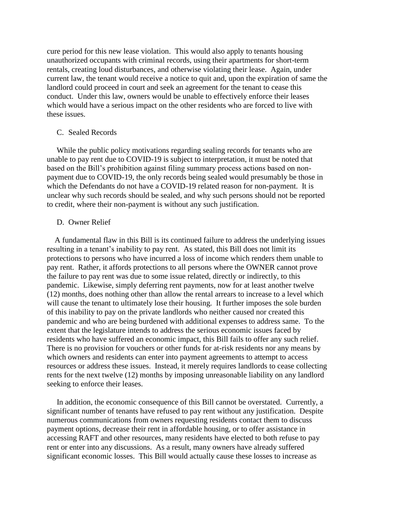cure period for this new lease violation. This would also apply to tenants housing unauthorized occupants with criminal records, using their apartments for short-term rentals, creating loud disturbances, and otherwise violating their lease. Again, under current law, the tenant would receive a notice to quit and, upon the expiration of same the landlord could proceed in court and seek an agreement for the tenant to cease this conduct. Under this law, owners would be unable to effectively enforce their leases which would have a serious impact on the other residents who are forced to live with these issues.

## C. Sealed Records

 While the public policy motivations regarding sealing records for tenants who are unable to pay rent due to COVID-19 is subject to interpretation, it must be noted that based on the Bill's prohibition against filing summary process actions based on nonpayment due to COVID-19, the only records being sealed would presumably be those in which the Defendants do not have a COVID-19 related reason for non-payment. It is unclear why such records should be sealed, and why such persons should not be reported to credit, where their non-payment is without any such justification.

#### D. Owner Relief

 A fundamental flaw in this Bill is its continued failure to address the underlying issues resulting in a tenant's inability to pay rent. As stated, this Bill does not limit its protections to persons who have incurred a loss of income which renders them unable to pay rent. Rather, it affords protections to all persons where the OWNER cannot prove the failure to pay rent was due to some issue related, directly or indirectly, to this pandemic. Likewise, simply deferring rent payments, now for at least another twelve (12) months, does nothing other than allow the rental arrears to increase to a level which will cause the tenant to ultimately lose their housing. It further imposes the sole burden of this inability to pay on the private landlords who neither caused nor created this pandemic and who are being burdened with additional expenses to address same. To the extent that the legislature intends to address the serious economic issues faced by residents who have suffered an economic impact, this Bill fails to offer any such relief. There is no provision for vouchers or other funds for at-risk residents nor any means by which owners and residents can enter into payment agreements to attempt to access resources or address these issues. Instead, it merely requires landlords to cease collecting rents for the next twelve (12) months by imposing unreasonable liability on any landlord seeking to enforce their leases.

 In addition, the economic consequence of this Bill cannot be overstated. Currently, a significant number of tenants have refused to pay rent without any justification. Despite numerous communications from owners requesting residents contact them to discuss payment options, decrease their rent in affordable housing, or to offer assistance in accessing RAFT and other resources, many residents have elected to both refuse to pay rent or enter into any discussions. As a result, many owners have already suffered significant economic losses. This Bill would actually cause these losses to increase as